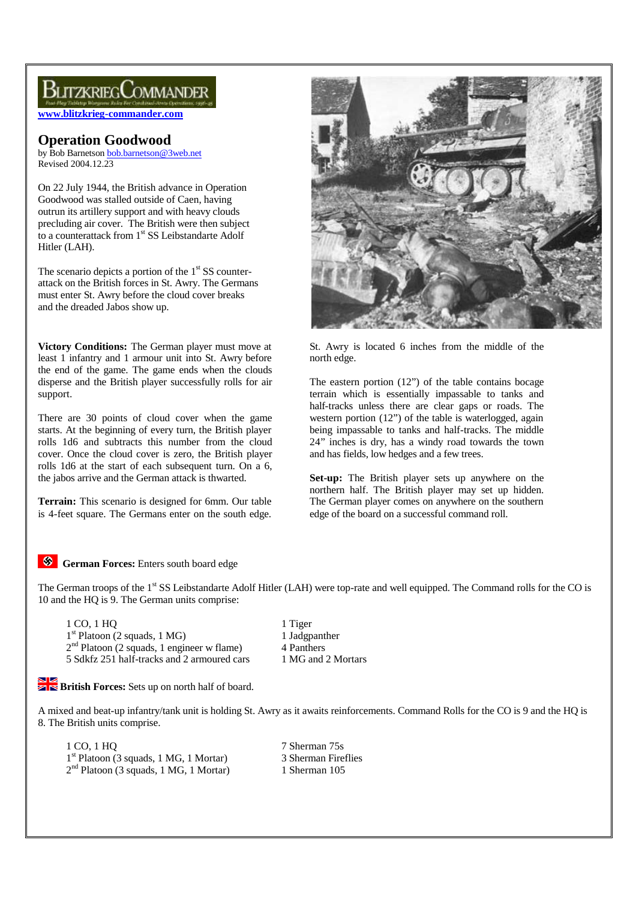## Blitzkrieg $\text{Comman}$ der

**www.blitzkrieg-commander.com**

## **Operation Goodwood**

by Bob Barnetson bob.barnetson@3web.net Revised 2004.12.23

On 22 July 1944, the British advance in Operation Goodwood was stalled outside of Caen, having outrun its artillery support and with heavy clouds precluding air cover. The British were then subject to a counterattack from 1<sup>st</sup> SS Leibstandarte Adolf Hitler (LAH).

The scenario depicts a portion of the  $1<sup>st</sup>$  SS counterattack on the British forces in St. Awry. The Germans must enter St. Awry before the cloud cover breaks and the dreaded Jabos show up.

**Victory Conditions:** The German player must move at least 1 infantry and 1 armour unit into St. Awry before the end of the game. The game ends when the clouds disperse and the British player successfully rolls for air support.

There are 30 points of cloud cover when the game starts. At the beginning of every turn, the British player rolls 1d6 and subtracts this number from the cloud cover. Once the cloud cover is zero, the British player rolls 1d6 at the start of each subsequent turn. On a 6, the jabos arrive and the German attack is thwarted.

**Terrain:** This scenario is designed for 6mm. Our table is 4-feet square. The Germans enter on the south edge.



St. Awry is located 6 inches from the middle of the north edge.

The eastern portion (12") of the table contains bocage terrain which is essentially impassable to tanks and half-tracks unless there are clear gaps or roads. The western portion  $(12)$  of the table is waterlogged, again being impassable to tanks and half-tracks. The middle 24" inches is dry, has a windy road towards the town and has fields, low hedges and a few trees.

**Set-up:** The British player sets up anywhere on the northern half. The British player may set up hidden. The German player comes on anywhere on the southern edge of the board on a successful command roll.

## **German Forces:** Enters south board edge

The German troops of the 1<sup>st</sup> SS Leibstandarte Adolf Hitler (LAH) were top-rate and well equipped. The Command rolls for the CO is 10 and the HQ is 9. The German units comprise:

1 CO, 1 HQ 1 Tiger 1<sup>st</sup> Platoon (2 squads, 1 MG) 1 Jadgpanther 2<sup>nd</sup> Platoon (2 squads, 1 engineer w flame) 4 Panthers 5 Sdkfz 251 half-tracks and 2 armoured cars 1 MG and 2 Mortars

## **BRICE**<br>**British Forces:** Sets up on north half of board.

A mixed and beat-up infantry/tank unit is holding St. Awry as it awaits reinforcements. Command Rolls for the CO is 9 and the HQ is 8. The British units comprise.

1 CO, 1 HQ<br>
<sup>1st</sup> Platoon (3 squads, 1 MG, 1 Mortar) 7 Sherman 75s<br>
<sup>1st</sup> Platoon (3 squads, 1 MG, 1 Mortar) 7 3 Sherman Fireflies 1<sup>st</sup> Platoon (3 squads, 1 MG, 1 Mortar) 3 Sherman Fireflies 2<sup>nd</sup> Platoon (3 squads, 1 MG, 1 Mortar) 1 Sherman 105